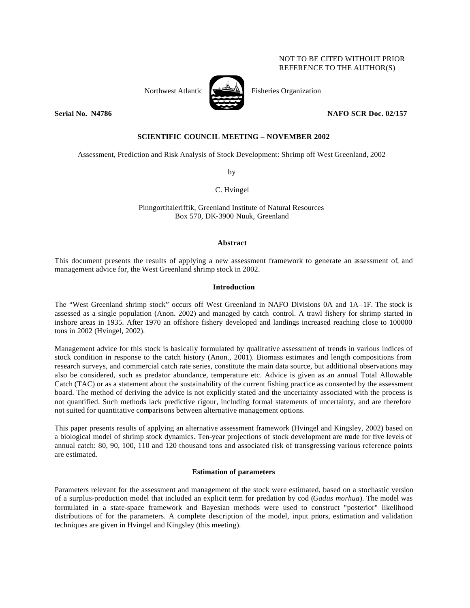# NOT TO BE CITED WITHOUT PRIOR REFERENCE TO THE AUTHOR(S)



Northwest Atlantic  $\left[\begin{array}{cc} \sqrt{2} & \frac{1}{2} \\ \frac{1}{2} & \frac{1}{2} \\ \frac{1}{2} & \frac{1}{2} \\ \frac{1}{2} & \frac{1}{2} \\ \frac{1}{2} & \frac{1}{2} \\ \frac{1}{2} & \frac{1}{2} \\ \frac{1}{2} & \frac{1}{2} \\ \frac{1}{2} & \frac{1}{2} \\ \frac{1}{2} & \frac{1}{2} \\ \frac{1}{2} & \frac{1}{2} \\ \frac{1}{2} & \frac{1}{2} \\ \frac{1}{2} & \frac{1}{2} \\ \frac$ 

**Serial No. 14786** NAFO SCR Doc. 02/157

# **SCIENTIFIC COUNCIL MEETING – NOVEMBER 2002**

Assessment, Prediction and Risk Analysis of Stock Development: Shrimp off West Greenland, 2002

by

C. Hvingel

Pinngortitaleriffik, Greenland Institute of Natural Resources Box 570, DK-3900 Nuuk, Greenland

#### **Abstract**

This document presents the results of applying a new assessment framework to generate an assessment of, and management advice for, the West Greenland shrimp stock in 2002.

### **Introduction**

The "West Greenland shrimp stock" occurs off West Greenland in NAFO Divisions 0A and 1A–1F. The stock is assessed as a single population (Anon. 2002) and managed by catch control. A trawl fishery for shrimp started in inshore areas in 1935. After 1970 an offshore fishery developed and landings increased reaching close to 100000 tons in 2002 (Hvingel, 2002).

Management advice for this stock is basically formulated by qualitative assessment of trends in various indices of stock condition in response to the catch history (Anon., 2001). Biomass estimates and length compositions from research surveys, and commercial catch rate series, constitute the main data source, but additional observations may also be considered, such as predator abundance, temperature etc. Advice is given as an annual Total Allowable Catch (TAC) or as a statement about the sustainability of the current fishing practice as consented by the assessment board. The method of deriving the advice is not explicitly stated and the uncertainty associated with the process is not quantified. Such methods lack predictive rigour, including formal statements of uncertainty, and are therefore not suited for quantitative comparisons between alternative management options.

This paper presents results of applying an alternative assessment framework (Hvingel and Kingsley, 2002) based on a biological model of shrimp stock dynamics. Ten-year projections of stock development are made for five levels of annual catch: 80, 90, 100, 110 and 120 thousand tons and associated risk of transgressing various reference points are estimated.

### **Estimation of parameters**

Parameters relevant for the assessment and management of the stock were estimated, based on a stochastic version of a surplus-production model that included an explicit term for predation by cod (*Gadus morhua*). The model was formulated in a state-space framework and Bayesian methods were used to construct "posterior" likelihood distributions of for the parameters. A complete description of the model, input priors, estimation and validation techniques are given in Hvingel and Kingsley (this meeting).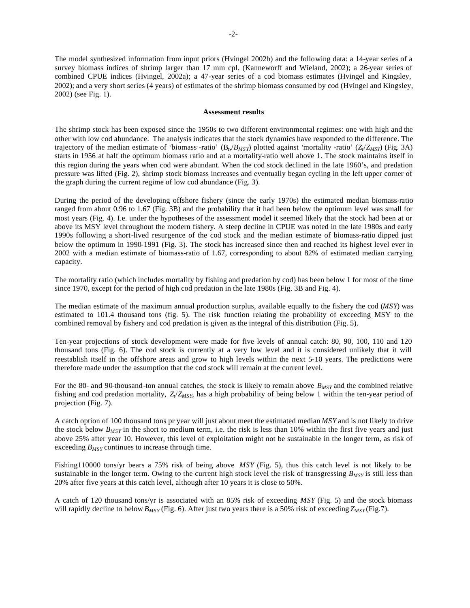The model synthesized information from input priors (Hvingel 2002b) and the following data: a 14-year series of a survey biomass indices of shrimp larger than 17 mm cpl. (Kanneworff and Wieland, 2002); a 26-year series of combined CPUE indices (Hvingel, 2002a); a 47-year series of a cod biomass estimates (Hvingel and Kingsley, 2002); and a very short series (4 years) of estimates of the shrimp biomass consumed by cod (Hvingel and Kingsley, 2002) (see Fig. 1).

### **Assessment results**

The shrimp stock has been exposed since the 1950s to two different environmental regimes: one with high and the other with low cod abundance. The analysis indicates that the stock dynamics have responded to the difference. The trajectory of the median estimate of 'biomass -ratio' (B*<sup>t</sup>* ,/*BMSY*) plotted against *'*mortality -ratio' (*Z<sup>t</sup>* /*ZMSY*) (Fig. 3A) starts in 1956 at half the optimum biomass ratio and at a mortality-ratio well above 1. The stock maintains itself in this region during the years when cod were abundant. When the cod stock declined in the late 1960's, and predation pressure was lifted (Fig. 2), shrimp stock biomass increases and eventually began cycling in the left upper corner of the graph during the current regime of low cod abundance (Fig. 3).

During the period of the developing offshore fishery (since the early 1970s) the estimated median biomass-ratio ranged from about 0.96 to 1.67 (Fig. 3B) and the probability that it had been below the optimum level was small for most years (Fig. 4). I.e. under the hypotheses of the assessment model it seemed likely that the stock had been at or above its MSY level throughout the modern fishery. A steep decline in CPUE was noted in the late 1980s and early 1990s following a short-lived resurgence of the cod stock and the median estimate of biomass-ratio dipped just below the optimum in 1990-1991 (Fig. 3). The stock has increased since then and reached its highest level ever in 2002 with a median estimate of biomass-ratio of 1.67, corresponding to about 82% of estimated median carrying capacity.

The mortality ratio (which includes mortality by fishing and predation by cod) has been below 1 for most of the time since 1970, except for the period of high cod predation in the late 1980s (Fig. 3B and Fig. 4).

The median estimate of the maximum annual production surplus, available equally to the fishery the cod (*MSY*) was estimated to 101.4 thousand tons (fig. 5). The risk function relating the probability of exceeding MSY to the combined removal by fishery and cod predation is given as the integral of this distribution (Fig. 5).

Ten-year projections of stock development were made for five levels of annual catch: 80, 90, 100, 110 and 120 thousand tons (Fig. 6). The cod stock is currently at a very low level and it is considered unlikely that it will reestablish itself in the offshore areas and grow to high levels within the next 5-10 years. The predictions were therefore made under the assumption that the cod stock will remain at the current level.

For the 80- and 90-thousand-ton annual catches, the stock is likely to remain above *BMSY* and the combined relative fishing and cod predation mortality, *Z<sup>t</sup>* /*ZMSY*, has a high probability of being below 1 within the ten-year period of projection (Fig. 7).

A catch option of 100 thousand tons pr year will just about meet the estimated median *MSY* and is not likely to drive the stock below *BMSY* in the short to medium term, i.e. the risk is less than 10% within the first five years and just above 25% after year 10. However, this level of exploitation might not be sustainable in the longer term, as risk of exceeding *BMSY* continues to increase through time.

Fishing110000 tons/yr bears a 75% risk of being above *MSY* (Fig. 5), thus this catch level is not likely to be sustainable in the longer term. Owing to the current high stock level the risk of transgressing  $B_{MSY}$  is still less than 20% after five years at this catch level, although after 10 years it is close to 50%.

A catch of 120 thousand tons/yr is associated with an 85% risk of exceeding *MSY* (Fig. 5) and the stock biomass will rapidly decline to below  $B_{MSY}$  (Fig. 6). After just two years there is a 50% risk of exceeding  $Z_{MSY}$  (Fig.7).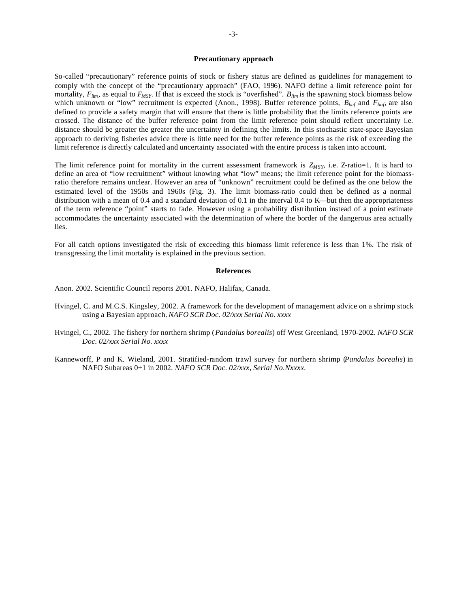# **Precautionary approach**

So-called "precautionary" reference points of stock or fishery status are defined as guidelines for management to comply with the concept of the "precautionary approach" (FAO, 1996). NAFO define a limit reference point for mortality,  $F_{lim}$ , as equal to  $F_{MSY}$ . If that is exceed the stock is "overfished".  $B_{lim}$  is the spawning stock biomass below which unknown or "low" recruitment is expected (Anon., 1998). Buffer reference points, *Bbuf* and *Fbuf*, are also defined to provide a safety margin that will ensure that there is little probability that the limits reference points are crossed. The distance of the buffer reference point from the limit reference point should reflect uncertainty i.e. distance should be greater the greater the uncertainty in defining the limits. In this stochastic state-space Bayesian approach to deriving fisheries advice there is little need for the buffer reference points as the risk of exceeding the limit reference is directly calculated and uncertainty associated with the entire process is taken into account.

The limit reference point for mortality in the current assessment framework is  $Z_{MSY}$ , i.e.  $Z$ -ratio=1. It is hard to define an area of "low recruitment" without knowing what "low" means; the limit reference point for the biomassratio therefore remains unclear. However an area of "unknown" recruitment could be defined as the one below the estimated level of the 1950s and 1960s (Fig. 3). The limit biomass-ratio could then be defined as a normal distribution with a mean of 0.4 and a standard deviation of 0.1 in the interval 0.4 to K—but then the appropriateness of the term reference "point" starts to fade. However using a probability distribution instead of a point estimate accommodates the uncertainty associated with the determination of where the border of the dangerous area actually lies.

For all catch options investigated the risk of exceeding this biomass limit reference is less than 1%. The risk of transgressing the limit mortality is explained in the previous section.

#### **References**

Anon. 2002. Scientific Council reports 2001. NAFO, Halifax, Canada.

- Hvingel, C. and M.C.S. Kingsley, 2002. A framework for the development of management advice on a shrimp stock using a Bayesian approach. *NAFO SCR Doc. 02/xxx Serial No. xxxx*
- Hvingel, C., 2002. The fishery for northern shrimp (*Pandalus borealis*) off West Greenland, 1970-2002. *NAFO SCR Doc. 02/xxx Serial No. xxxx*
- Kanneworff, P and K. Wieland, 2001. Stratified-random trawl survey for northern shrimp (*Pandalus borealis*) in NAFO Subareas 0+1 in 2002. *NAFO SCR Doc. 02/xxx, Serial No.Nxxxx.*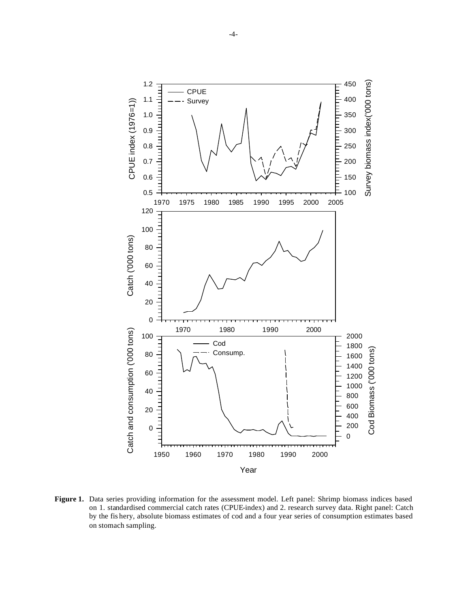

**Figure 1.** Data series providing information for the assessment model. Left panel: Shrimp biomass indices based on 1. standardised commercial catch rates (CPUE-index) and 2. research survey data. Right panel: Catch by the fis hery, absolute biomass estimates of cod and a four year series of consumption estimates based on stomach sampling.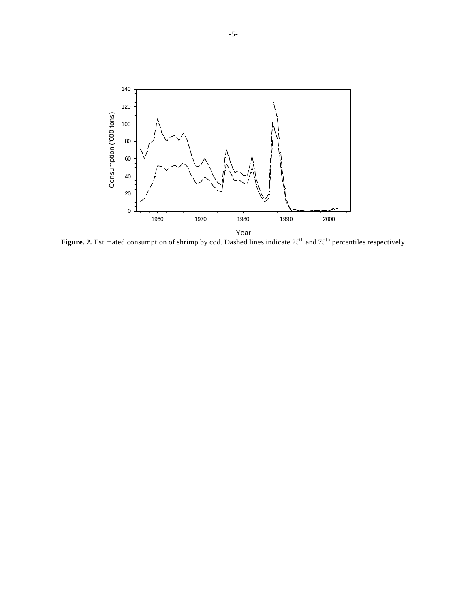

Figure. 2. Estimated consumption of shrimp by cod. Dashed lines indicate 25<sup>th</sup> and 75<sup>th</sup> percentiles respectively.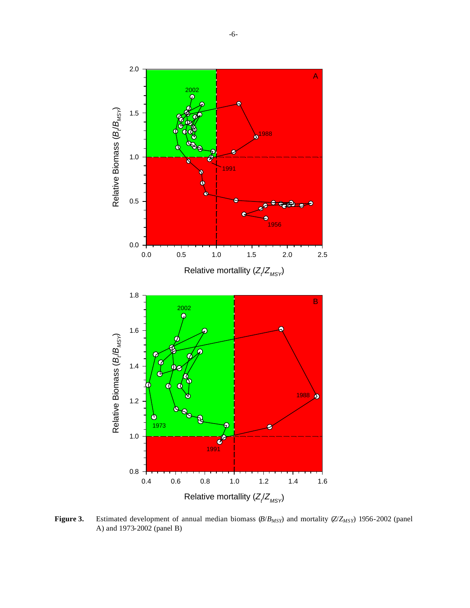

**Figure 3.** Estimated development of annual median biomass (*B*/*BMSY*) and mortality (*Z*/*ZMSY*) 1956-2002 (panel A) and 1973-2002 (panel B)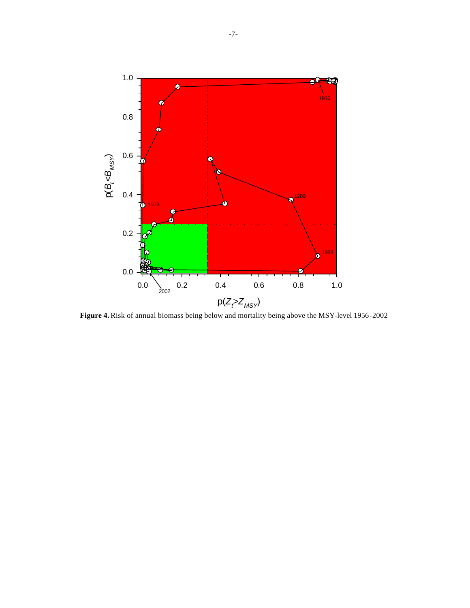

**Figure 4.** Risk of annual biomass being below and mortality being above the MSY-level 1956-2002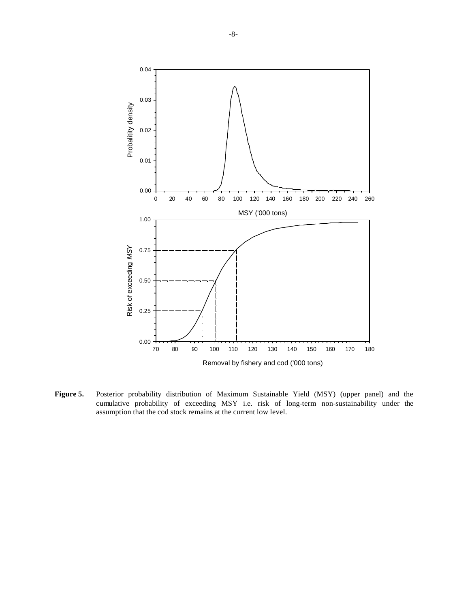

**Figure 5.** Posterior probability distribution of Maximum Sustainable Yield (MSY) (upper panel) and the cumulative probability of exceeding MSY i.e. risk of long-term non-sustainability under the assumption that the cod stock remains at the current low level.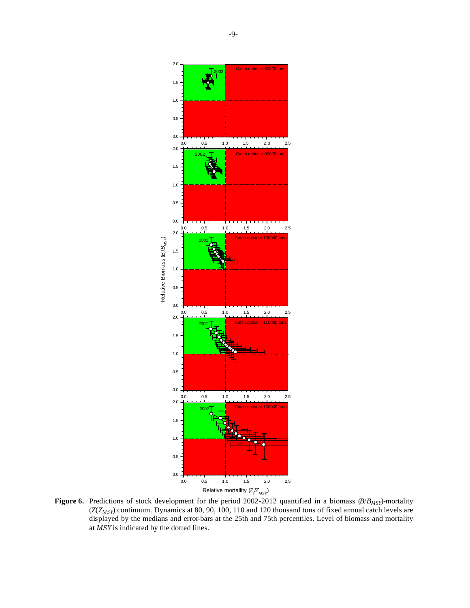

**Figure 6.** Predictions of stock development for the period 2002-2012 quantified in a biomass (*B*/*BMSY*)-mortality (*Z*(*ZMSY*) continuum. Dynamics at 80, 90, 100, 110 and 120 thousand tons of fixed annual catch levels are displayed by the medians and error-bars at the 25th and 75th percentiles. Level of biomass and mortality at *MSY* is indicated by the dotted lines.